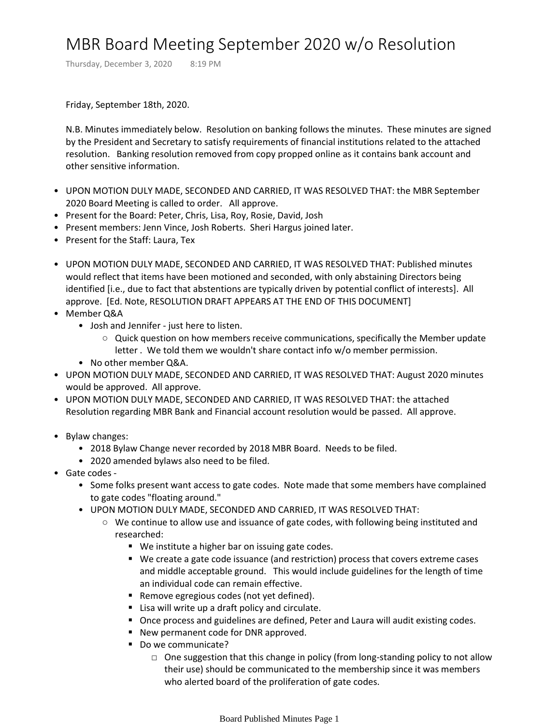## MBR Board Meeting September 2020 w/o Resolution

Thursday, December 3, 2020 8:19 PM

Friday, September 18th, 2020.

N.B. Minutes immediately below. Resolution on banking follows the minutes. These minutes are signed by the President and Secretary to satisfy requirements of financial institutions related to the attached resolution. Banking resolution removed from copy propped online as it contains bank account and other sensitive information.

- UPON MOTION DULY MADE, SECONDED AND CARRIED, IT WAS RESOLVED THAT: the MBR September 2020 Board Meeting is called to order. All approve.
- Present for the Board: Peter, Chris, Lisa, Roy, Rosie, David, Josh
- Present members: Jenn Vince, Josh Roberts. Sheri Hargus joined later.
- Present for the Staff: Laura, Tex
- UPON MOTION DULY MADE, SECONDED AND CARRIED, IT WAS RESOLVED THAT: Published minutes would reflect that items have been motioned and seconded, with only abstaining Directors being identified [i.e., due to fact that abstentions are typically driven by potential conflict of interests]. All approve. [Ed. Note, RESOLUTION DRAFT APPEARS AT THE END OF THIS DOCUMENT]
- Member Q&A
	- Josh and Jennifer just here to listen.
		- $\circ$  Quick question on how members receive communications, specifically the Member update letter . We told them we wouldn't share contact info w/o member permission.
	- No other member Q&A.
- UPON MOTION DULY MADE, SECONDED AND CARRIED, IT WAS RESOLVED THAT: August 2020 minutes would be approved. All approve.
- UPON MOTION DULY MADE, SECONDED AND CARRIED, IT WAS RESOLVED THAT: the attached Resolution regarding MBR Bank and Financial account resolution would be passed. All approve.
- Bylaw changes:
	- 2018 Bylaw Change never recorded by 2018 MBR Board. Needs to be filed.
	- 2020 amended bylaws also need to be filed.
- Gate codes
	- Some folks present want access to gate codes. Note made that some members have complained to gate codes "floating around."
	- UPON MOTION DULY MADE, SECONDED AND CARRIED, IT WAS RESOLVED THAT:
		- We continue to allow use and issuance of gate codes, with following being instituted and researched:
			- We institute a higher bar on issuing gate codes.
			- We create a gate code issuance (and restriction) process that covers extreme cases and middle acceptable ground. This would include guidelines for the length of time an individual code can remain effective.
			- Remove egregious codes (not yet defined).
			- Lisa will write up a draft policy and circulate.
			- Once process and guidelines are defined, Peter and Laura will audit existing codes.
			- New permanent code for DNR approved.
			- Do we communicate?
				- □ One suggestion that this change in policy (from long-standing policy to not allow their use) should be communicated to the membership since it was members who alerted board of the proliferation of gate codes.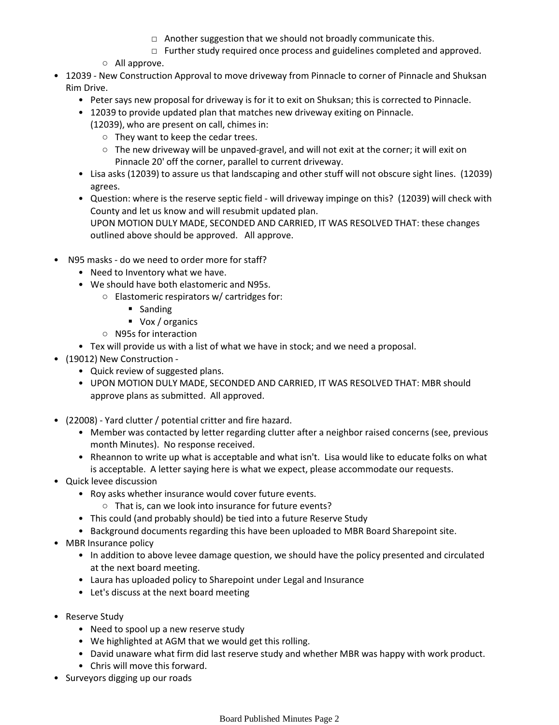- $\Box$  Another suggestion that we should not broadly communicate this.
- $\Box$  Further study required once process and guidelines completed and approved.
- All approve.
- 12039 New Construction Approval to move driveway from Pinnacle to corner of Pinnacle and Shuksan Rim Drive.
	- Peter says new proposal for driveway is for it to exit on Shuksan; this is corrected to Pinnacle.
	- 12039 to provide updated plan that matches new driveway exiting on Pinnacle.
		- (12039), who are present on call, chimes in:
			- They want to keep the cedar trees.
			- The new driveway will be unpaved-gravel, and will not exit at the corner; it will exit on Pinnacle 20' off the corner, parallel to current driveway.
	- Lisa asks (12039) to assure us that landscaping and other stuff will not obscure sight lines. (12039) agrees.
	- Question: where is the reserve septic field will driveway impinge on this? (12039) will check with County and let us know and will resubmit updated plan. UPON MOTION DULY MADE, SECONDED AND CARRIED, IT WAS RESOLVED THAT: these changes outlined above should be approved. All approve.
- N95 masks do we need to order more for staff?
	- Need to Inventory what we have.
	- We should have both elastomeric and N95s.
		- Elastomeric respirators w/ cartridges for:
			- Sanding
			- Vox / organics
		- N95s for interaction
	- Tex will provide us with a list of what we have in stock; and we need a proposal.
- (19012) New Construction
	- Quick review of suggested plans.
	- UPON MOTION DULY MADE, SECONDED AND CARRIED, IT WAS RESOLVED THAT: MBR should approve plans as submitted. All approved.
- (22008) Yard clutter / potential critter and fire hazard.
	- Member was contacted by letter regarding clutter after a neighbor raised concerns (see, previous month Minutes). No response received.
	- Rheannon to write up what is acceptable and what isn't. Lisa would like to educate folks on what is acceptable. A letter saying here is what we expect, please accommodate our requests.
- Quick levee discussion
	- Roy asks whether insurance would cover future events.
		- That is, can we look into insurance for future events?
	- This could (and probably should) be tied into a future Reserve Study
	- Background documents regarding this have been uploaded to MBR Board Sharepoint site.
- MBR Insurance policy
	- In addition to above levee damage question, we should have the policy presented and circulated at the next board meeting.
	- Laura has uploaded policy to Sharepoint under Legal and Insurance
	- Let's discuss at the next board meeting
- Reserve Study
	- Need to spool up a new reserve study
	- We highlighted at AGM that we would get this rolling.
	- David unaware what firm did last reserve study and whether MBR was happy with work product.
	- Chris will move this forward.
- Surveyors digging up our roads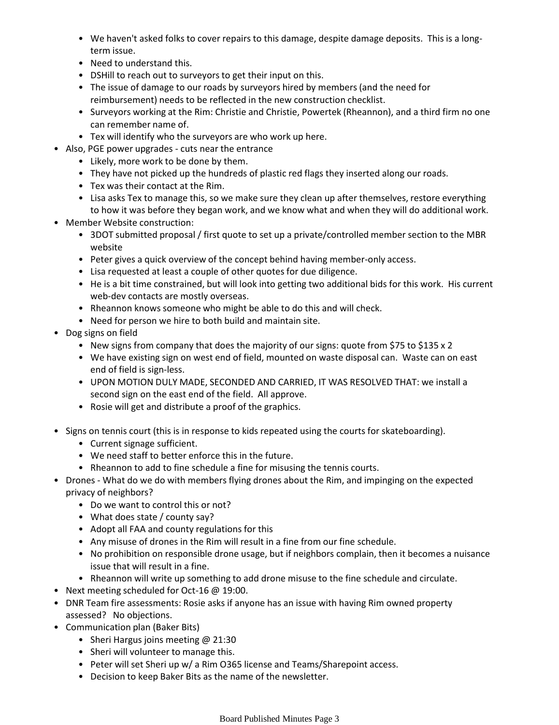- We haven't asked folks to cover repairs to this damage, despite damage deposits. This is a longterm issue.
- Need to understand this.
- DSHill to reach out to surveyors to get their input on this.
- The issue of damage to our roads by surveyors hired by members (and the need for reimbursement) needs to be reflected in the new construction checklist.
- Surveyors working at the Rim: Christie and Christie, Powertek (Rheannon), and a third firm no one can remember name of.
- Tex will identify who the surveyors are who work up here.
- Also, PGE power upgrades cuts near the entrance
	- Likely, more work to be done by them.
	- They have not picked up the hundreds of plastic red flags they inserted along our roads.
	- Tex was their contact at the Rim.
	- Lisa asks Tex to manage this, so we make sure they clean up after themselves, restore everything to how it was before they began work, and we know what and when they will do additional work.
- Member Website construction:
	- 3DOT submitted proposal / first quote to set up a private/controlled member section to the MBR website
	- Peter gives a quick overview of the concept behind having member-only access.
	- Lisa requested at least a couple of other quotes for due diligence.
	- He is a bit time constrained, but will look into getting two additional bids for this work. His current web-dev contacts are mostly overseas.
	- Rheannon knows someone who might be able to do this and will check.
	- Need for person we hire to both build and maintain site.
- Dog signs on field
	- New signs from company that does the majority of our signs: quote from \$75 to \$135 x 2
	- We have existing sign on west end of field, mounted on waste disposal can. Waste can on east end of field is sign-less.
	- UPON MOTION DULY MADE, SECONDED AND CARRIED, IT WAS RESOLVED THAT: we install a second sign on the east end of the field. All approve.
	- Rosie will get and distribute a proof of the graphics.
- Signs on tennis court (this is in response to kids repeated using the courts for skateboarding).
	- Current signage sufficient.
	- We need staff to better enforce this in the future.
	- Rheannon to add to fine schedule a fine for misusing the tennis courts.
- Drones What do we do with members flying drones about the Rim, and impinging on the expected privacy of neighbors?
	- Do we want to control this or not?
	- What does state / county say?
	- Adopt all FAA and county regulations for this
	- Any misuse of drones in the Rim will result in a fine from our fine schedule.
	- No prohibition on responsible drone usage, but if neighbors complain, then it becomes a nuisance issue that will result in a fine.
	- Rheannon will write up something to add drone misuse to the fine schedule and circulate.
- Next meeting scheduled for Oct-16 @ 19:00.
- DNR Team fire assessments: Rosie asks if anyone has an issue with having Rim owned property assessed? No objections.
- Communication plan (Baker Bits)
	- Sheri Hargus joins meeting @ 21:30
	- Sheri will volunteer to manage this.
	- Peter will set Sheri up w/ a Rim O365 license and Teams/Sharepoint access.
	- Decision to keep Baker Bits as the name of the newsletter.